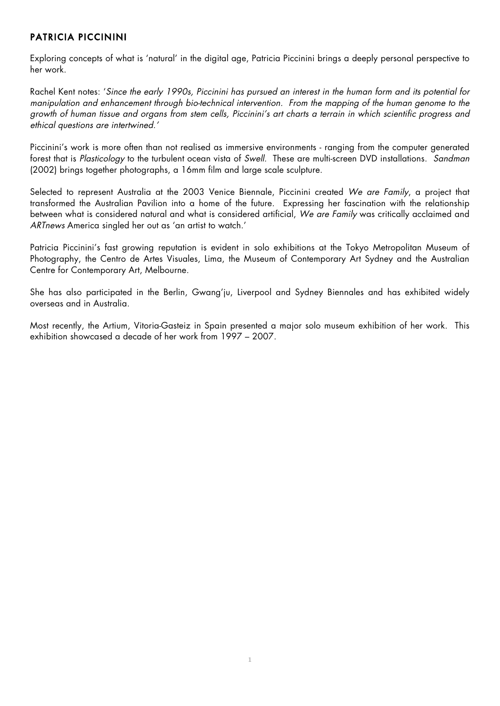# PATRICIA PICCININI

Exploring concepts of what is 'natural' in the digital age, Patricia Piccinini brings a deeply personal perspective to her work.

Rachel Kent notes: '*Since the early 1990s, Piccinini has pursued an interest in the human form and its potential for manipulation and enhancement through bio-technical intervention. From the mapping of the human genome to the growth of human tissue and organs from stem cells, Piccinini's art charts a terrain in which scientific progress and ethical questions are intertwined.'*

Piccinini's work is more often than not realised as immersive environments - ranging from the computer generated forest that is *Plasticology* to the turbulent ocean vista of *Swell.* These are multi-screen DVD installations. *Sandman* (2002) brings together photographs, a 16mm film and large scale sculpture.

Selected to represent Australia at the 2003 Venice Biennale, Piccinini created *We are Family*, a project that transformed the Australian Pavilion into a home of the future. Expressing her fascination with the relationship between what is considered natural and what is considered artificial, *We are Family* was critically acclaimed and *ARTnews* America singled her out as 'an artist to watch.'

Patricia Piccinini's fast growing reputation is evident in solo exhibitions at the Tokyo Metropolitan Museum of Photography, the Centro de Artes Visuales, Lima, the Museum of Contemporary Art Sydney and the Australian Centre for Contemporary Art, Melbourne.

She has also participated in the Berlin, Gwang'ju, Liverpool and Sydney Biennales and has exhibited widely overseas and in Australia.

Most recently, the Artium, Vitoria-Gasteiz in Spain presented a major solo museum exhibition of her work. This exhibition showcased a decade of her work from 1997 – 2007.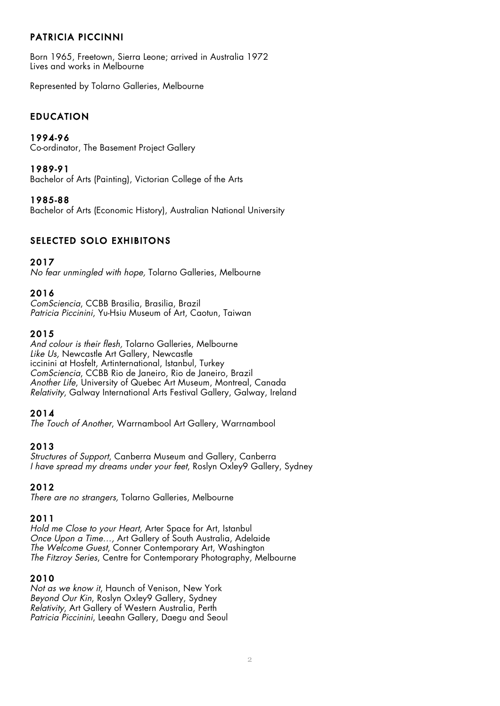# PATRICIA PICCINNI

Born 1965, Freetown, Sierra Leone; arrived in Australia 1972 Lives and works in Melbourne

Represented by Tolarno Galleries, Melbourne

# EDUCATION

### 1994-96

Co-ordinator, The Basement Project Gallery

#### 1989-91

Bachelor of Arts (Painting), Victorian College of the Arts

## 1985-88

Bachelor of Arts (Economic History), Australian National University

# SELECTED SOLO EXHIBITONS

## 2017

*No fear unmingled with hope,* Tolarno Galleries, Melbourne

## 2016

*ComSciencia*, CCBB Brasilia, Brasilia, Brazil *Patricia Piccinini*, Yu-Hsiu Museum of Art, Caotun, Taiwan

## 2015

*And colour is their flesh,* Tolarno Galleries, Melbourne *Like Us,* Newcastle Art Gallery, Newcastle iccinini at Hosfelt, Artinternational, Istanbul, Turkey *ComSciencia*, CCBB Rio de Janeiro, Rio de Janeiro, Brazil *Another Life*, University of Quebec Art Museum, Montreal, Canada *Relativity*, Galway International Arts Festival Gallery, Galway, Ireland

## 2014

*The Touch of Another*, Warrnambool Art Gallery, Warrnambool

## 2013

*Structures of Support*, Canberra Museum and Gallery, Canberra *I have spread my dreams under your feet*, Roslyn Oxley9 Gallery, Sydney

## 2012

*There are no strangers,* Tolarno Galleries, Melbourne

## 2011

*Hold me Close to your Heart,* Arter Space for Art, Istanbul *Once Upon a Time…,* Art Gallery of South Australia, Adelaide *The Welcome Guest*, Conner Contemporary Art, Washington *The Fitzroy Series*, Centre for Contemporary Photography, Melbourne

## 2010

*Not as we know it*, Haunch of Venison, New York *Beyond Our Kin*, Roslyn Oxley9 Gallery, Sydney *Relativity*, Art Gallery of Western Australia, Perth *Patricia Piccinini*, Leeahn Gallery, Daegu and Seoul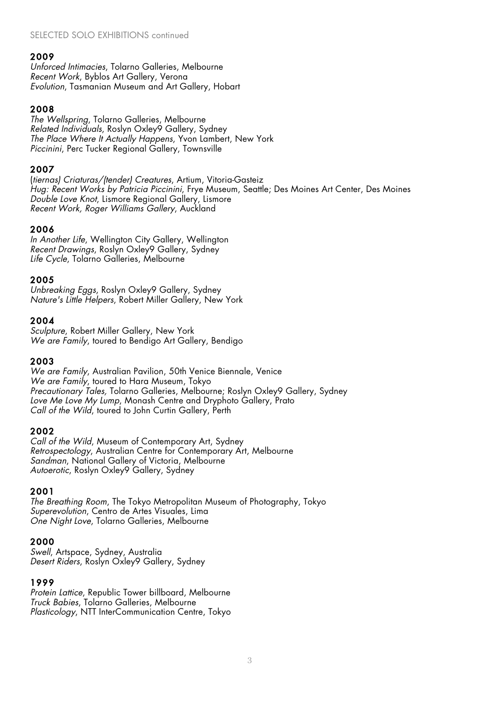*Unforced Intimacies*, Tolarno Galleries, Melbourne *Recent Work*, Byblos Art Gallery, Verona *Evolution*, Tasmanian Museum and Art Gallery, Hobart

# 2008

*The Wellspring*, Tolarno Galleries, Melbourne *Related Individuals*, Roslyn Oxley9 Gallery, Sydney *The Place Where It Actually Happens*, Yvon Lambert, New York *Piccinini*, Perc Tucker Regional Gallery, Townsville

## 2007

(*tiernas) Criaturas/(tender) Creatures*, Artium, Vitoria-Gasteiz *Hug: Recent Works by Patricia Piccinini*, Frye Museum, Seattle; Des Moines Art Center, Des Moines *Double Love Knot*, Lismore Regional Gallery, Lismore *Recent Work, Roger Williams Gallery*, Auckland

## 2006

*In Another Life*, Wellington City Gallery, Wellington *Recent Drawings*, Roslyn Oxley9 Gallery, Sydney *Life Cycle*, Tolarno Galleries, Melbourne

## 2005

*Unbreaking Eggs*, Roslyn Oxley9 Gallery, Sydney *Nature's Little Helpers*, Robert Miller Gallery, New York

## 2004

*Sculpture*, Robert Miller Gallery, New York *We are Family*, toured to Bendigo Art Gallery, Bendigo

## 2003

*We are Family*, Australian Pavilion, 50th Venice Biennale, Venice *We are Family*, toured to Hara Museum, Tokyo *Precautionary Tales,* Tolarno Galleries, Melbourne; Roslyn Oxley9 Gallery, Sydney *Love Me Love My Lump*, Monash Centre and Dryphoto Gallery, Prato *Call of the Wild*, toured to John Curtin Gallery, Perth

## 2002

*Call of the Wild*, Museum of Contemporary Art, Sydney *Retrospectology*, Australian Centre for Contemporary Art, Melbourne *Sandman*, National Gallery of Victoria, Melbourne *Autoerotic*, Roslyn Oxley9 Gallery, Sydney

## 2001

*The Breathing Room*, The Tokyo Metropolitan Museum of Photography, Tokyo *Superevolution*, Centro de Artes Visuales, Lima *One Night Love*, Tolarno Galleries, Melbourne

## 2000

*Swell*, Artspace, Sydney, Australia *Desert Riders*, Roslyn Oxley9 Gallery, Sydney

## 1999

*Protein Lattice*, Republic Tower billboard, Melbourne *Truck Babies*, Tolarno Galleries, Melbourne *Plasticology*, NTT InterCommunication Centre, Tokyo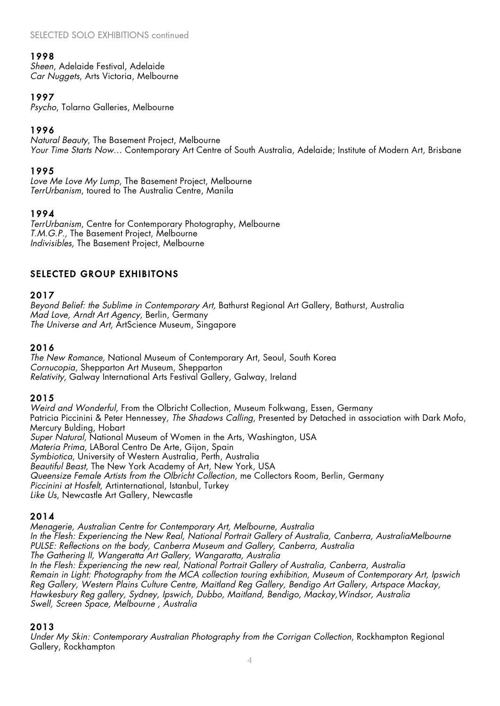*Sheen*, Adelaide Festival, Adelaide *Car Nuggets*, Arts Victoria, Melbourne

# 1997

*Psycho*, Tolarno Galleries, Melbourne

# 1996

*Natural Beauty*, The Basement Project, Melbourne *Your Time Starts Now…* Contemporary Art Centre of South Australia, Adelaide; Institute of Modern Art, Brisbane

# 1995

*Love Me Love My Lump*, The Basement Project, Melbourne *TerrUrbanism*, toured to The Australia Centre, Manila

# 1994

*TerrUrbanism*, Centre for Contemporary Photography, Melbourne *T.M.G.P.,* The Basement Project, Melbourne *Indivisibles*, The Basement Project, Melbourne

# SELECTED GROUP EXHIBITONS

## 2017

*Beyond Belief: the Sublime in Contemporary Art,* Bathurst Regional Art Gallery, Bathurst, Australia *Mad Love, Arndt Art Agency,* Berlin, Germany *The Universe and Art,* ArtScience Museum, Singapore

## 2016

*The New Romance,* National Museum of Contemporary Art, Seoul, South Korea *Cornucopia*, Shepparton Art Museum, Shepparton *Relativity,* Galway International Arts Festival Gallery, Galway, Ireland

## 2015

*Weird and Wonderful*, From the Olbricht Collection, Museum Folkwang, Essen, Germany Patricia Piccinini & Peter Hennessey*, The Shadows Calling*, Presented by Detached in association with Dark Mofo, Mercury Bulding, Hobart *Super Natural*, National Museum of Women in the Arts, Washington, USA *Materia Prima*, LABoral Centro De Arte, Gijon, Spain *Symbiotica*, University of Western Australia, Perth, Australia *Beautiful Beast*, The New York Academy of Art, New York, USA *Queensize Female Artists from the Olbricht Collection*, me Collectors Room, Berlin, Germany *Piccinini at Hosfelt*, Artinternational, Istanbul, Turkey *Like Us*, Newcastle Art Gallery, Newcastle

# 2014

*Menagerie, Australian Centre for Contemporary Art, Melbourne, Australia In the Flesh: Experiencing the New Real, National Portrait Gallery of Australia, Canberra, AustraliaMelbourne PULSE: Reflections on the body, Canberra Museum and Gallery, Canberra, Australia The Gathering II, Wangeratta Art Gallery, Wangaratta, Australia In the Flesh: Experiencing the new real, National Portrait Gallery of Australia, Canberra, Australia Remain in Light: Photography from the MCA collection touring exhibition, Museum of Contemporary Art, Ipswich Reg Gallery, Western Plains Culture Centre, Maitland Reg Gallery, Bendigo Art Gallery, Artspace Mackay, Hawkesbury Reg gallery, Sydney, Ipswich, Dubbo, Maitland, Bendigo, Mackay,Windsor, Australia Swell, Screen Space, Melbourne , Australia*

## 2013

*Under My Skin: Contemporary Australian Photography from the Corrigan Collection, Rockhampton Regional* Gallery, Rockhampton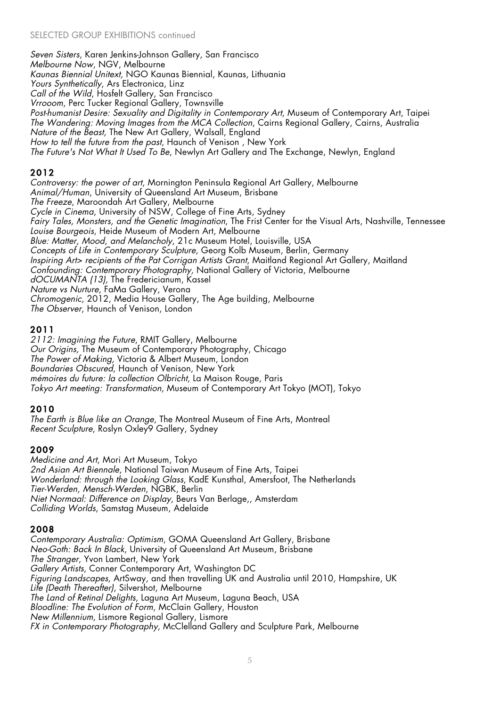*Seven Sisters*, Karen Jenkins-Johnson Gallery, San Francisco *Melbourne Now*, NGV, Melbourne *Kaunas Biennial Unitext,* NGO Kaunas Biennial, Kaunas, Lithuania *Yours Synthetically*, Ars Electronica, Linz *Call of the Wild*, Hosfelt Gallery, San Francisco *Vrrooom*, Perc Tucker Regional Gallery, Townsville *Post-humanist Desire: Sexuality and Digitality in Contemporary Art*, Museum of Contemporary Art, Taipei *The Wandering: Moving Images from the MCA Collection*, Cairns Regional Gallery, Cairns, Australia *Nature of the Beast,* The New Art Gallery, Walsall, England *How to tell the future from the past*, Haunch of Venison , New York *The Future's Not What It Used To Be*, Newlyn Art Gallery and The Exchange, Newlyn, England

# 2012

*Controversy: the power of art*, Mornington Peninsula Regional Art Gallery, Melbourne *Animal/Human*, University of Queensland Art Museum, Brisbane *The Freeze*, Maroondah Art Gallery, Melbourne *Cycle in Cinema*, University of NSW, College of Fine Arts, Sydney *Fairy Tales, Monsters, and the Genetic Imagination*, The Frist Center for the Visual Arts, Nashville, Tennessee *Louise Bourgeois*, Heide Museum of Modern Art, Melbourne *Blue: Matter, Mood, and Melancholy*, 21c Museum Hotel, Louisville, USA *Concepts of Life in Contemporary Sculpture*, Georg Kolb Museum, Berlin, Germany *Inspiring Art> recipients of the Pat Corrigan Artists Grant*, Maitland Regional Art Gallery, Maitland *Confounding: Contemporary Photography,* National Gallery of Victoria, Melbourne *dOCUMANTA (13),* The Fredericianum, Kassel *Nature vs Nurture*, FaMa Gallery, Verona *Chromogenic*, 2012, Media House Gallery, The Age building, Melbourne *The Observer*, Haunch of Venison, London

# 2011

*2112: Imagining the Future*, RMIT Gallery, Melbourne *Our Origins,* The Museum of Contemporary Photography, Chicago *The Power of Making,* Victoria & Albert Museum, London *Boundaries Obscured*, Haunch of Venison, New York *mémoires du future: la collection Olbricht*, La Maison Rouge, Paris *Tokyo Art meeting: Transformation*, Museum of Contemporary Art Tokyo (MOT), Tokyo

# 2010

*The Earth is Blue like an Orange*, The Montreal Museum of Fine Arts, Montreal *Recent Sculpture*, Roslyn Oxley9 Gallery, Sydney

# 2009

*Medicine and Art*, Mori Art Museum, Tokyo *2nd Asian Art Biennale*, National Taiwan Museum of Fine Arts, Taipei *Wonderland: through the Looking Glass*, KadE Kunsthal, Amersfoot, The Netherlands *Tier-Werden, Mensch-Werden*, NGBK, Berlin *Niet Normaal: Difference on Display*, Beurs Van Berlage,, Amsterdam *Colliding Worlds*, Samstag Museum, Adelaide

# 2008

*Contemporary Australia: Optimism*, GOMA Queensland Art Gallery, Brisbane *Neo-Goth: Back In Black*, University of Queensland Art Museum, Brisbane *The Stranger*, Yvon Lambert, New York *Gallery Artists*, Conner Contemporary Art, Washington DC *Figuring Landscapes*, ArtSway, and then travelling UK and Australia until 2010, Hampshire, UK *Life (Death Thereafter)*, Silvershot, Melbourne *The Land of Retinal Delights*, Laguna Art Museum, Laguna Beach, USA *Bloodline: The Evolution of Form*, McClain Gallery, Houston *New Millennium*, Lismore Regional Gallery, Lismore *FX in Contemporary Photography*, McClelland Gallery and Sculpture Park, Melbourne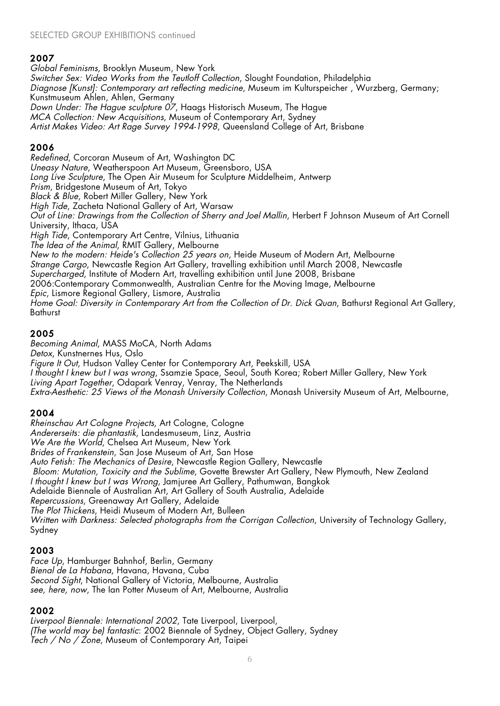*Global Feminisms*, Brooklyn Museum, New York *Switcher Sex: Video Works from the Teutloff Collection*, Slought Foundation, Philadelphia *Diagnose [Kunst]: Contemporary art reflecting medicine*, Museum im Kulturspeicher , Wurzberg, Germany; Kunstmuseum Ahlen, Ahlen, Germany *Down Under: The Hague sculpture 07*, Haags Historisch Museum, The Hague *MCA Collection: New Acquisitions*, Museum of Contemporary Art, Sydney *Artist Makes Video: Art Rage Survey 1994-1998*, Queensland College of Art, Brisbane

# 2006

*Redefined*, Corcoran Museum of Art, Washington DC *Uneasy Nature*, Weatherspoon Art Museum, Greensboro, USA *Long Live Sculpture*, The Open Air Museum for Sculpture Middelheim, Antwerp *Prism*, Bridgestone Museum of Art, Tokyo *Black & Blue*, Robert Miller Gallery, New York *High Tide*, Zacheta National Gallery of Art, Warsaw *Out of Line: Drawings from the Collection of Sherry and Joel Mallin*, Herbert F Johnson Museum of Art Cornell University, Ithaca, USA *High Tide*, Contemporary Art Centre, Vilnius, Lithuania *The Idea of the Animal*, RMIT Gallery, Melbourne *New to the modern: Heide's Collection 25 years on*, Heide Museum of Modern Art, Melbourne *Strange Cargo*, Newcastle Region Art Gallery, travelling exhibition until March 2008, Newcastle *Supercharged*, Institute of Modern Art, travelling exhibition until June 2008, Brisbane 2006:Contemporary Commonwealth, Australian Centre for the Moving Image, Melbourne *Epic*, Lismore Regional Gallery, Lismore, Australia *Home Goal: Diversity in Contemporary Art from the Collection of Dr. Dick Quan*, Bathurst Regional Art Gallery, **Bathurst** 

# 2005

*Becoming Animal*, MASS MoCA, North Adams *Detox*, Kunstnernes Hus, Oslo *Figure It Out*, Hudson Valley Center for Contemporary Art, Peekskill, USA *I thought I knew but I was wrong*, Ssamzie Space, Seoul, South Korea; Robert Miller Gallery, New York *Living Apart Together*, Odapark Venray, Venray, The Netherlands *Extra-Aesthetic: 25 Views of the Monash University Collection*, Monash University Museum of Art, Melbourne,

# 2004

*Rheinschau Art Cologne Projects*, Art Cologne, Cologne *Andererseits: die phantastik*, Landesmuseum, Linz, Austria *We Are the World*, Chelsea Art Museum, New York *Brides of Frankenstein*, San Jose Museum of Art, San Hose *Auto Fetish: The Mechanics of Desire*, Newcastle Region Gallery, Newcastle *Bloom: Mutation, Toxicity and the Sublime*, Govette Brewster Art Gallery, New Plymouth, New Zealand *I thought I knew but I was Wrong*, Jamjuree Art Gallery, Pathumwan, Bangkok Adelaide Biennale of Australian Art, Art Gallery of South Australia, Adelaide *Repercussions*, Greenaway Art Gallery, Adelaide *The Plot Thickens*, Heidi Museum of Modern Art, Bulleen *Written with Darkness: Selected photographs from the Corrigan Collection*, University of Technology Gallery, Sydney

# 2003

*Face Up*, Hamburger Bahnhof, Berlin, Germany *Bienal de La Habana*, Havana, Havana, Cuba *Second Sight*, National Gallery of Victoria, Melbourne, Australia *see, here, now*, The Ian Potter Museum of Art, Melbourne, Australia

# 2002

*Liverpool Biennale: International 2002*, Tate Liverpool, Liverpool, *(The world may be) fantastic*: 2002 Biennale of Sydney, Object Gallery, Sydney *Tech / No / Zone*, Museum of Contemporary Art, Taipei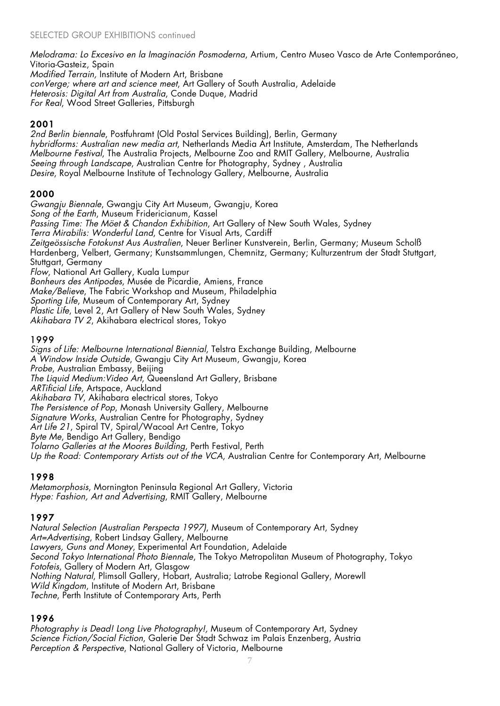*Melodrama: Lo Excesivo en la Imaginación Posmoderna*, Artium, Centro Museo Vasco de Arte Contemporáneo, Vitoria-Gasteiz, Spain

*Modified Terrain,* Institute of Modern Art, Brisbane *conVerge; where art and science meet*, Art Gallery of South Australia, Adelaide *Heterosis: Digital Art from Australia*, Conde Duque, Madrid *For Real*, Wood Street Galleries, Pittsburgh

# 2001

*2nd Berlin biennale*, Postfuhramt (Old Postal Services Building), Berlin, Germany *hybridforms: Australian new media art*, Netherlands Media Art Institute, Amsterdam, The Netherlands *Melbourne Festival*, The Australia Projects, Melbourne Zoo and RMIT Gallery, Melbourne, Australia *Seeing through Landscape*, Australian Centre for Photography, Sydney , Australia *Desire*, Royal Melbourne Institute of Technology Gallery, Melbourne, Australia

# 2000

*Gwangju Biennale*, Gwangju City Art Museum, Gwangju, Korea *Song of the Earth*, Museum Fridericianum, Kassel *Passing Time: The Möet & Chandon Exhibition*, Art Gallery of New South Wales, Sydney *Terra Mirabilis: Wonderful Land*, Centre for Visual Arts, Cardiff *Zeitgeössische Fotokunst Aus Australien*, Neuer Berliner Kunstverein, Berlin, Germany; Museum Scholß Hardenberg, Velbert, Germany; Kunstsammlungen, Chemnitz, Germany; Kulturzentrum der Stadt Stuttgart, Stuttgart, Germany *Flow*, National Art Gallery, Kuala Lumpur *Bonheurs des Antipodes*, Musée de Picardie, Amiens, France *Make/Believe*, The Fabric Workshop and Museum, Philadelphia *Sporting Life*, Museum of Contemporary Art, Sydney *Plastic Life*, Level 2, Art Gallery of New South Wales, Sydney

*Akihabara TV 2*, Akihabara electrical stores, Tokyo

# 1999

*Signs of Life: Melbourne International Biennial*, Telstra Exchange Building, Melbourne *A Window Inside Outside*, Gwangju City Art Museum, Gwangju, Korea *Probe*, Australian Embassy, Beijing *The Liquid Medium:Video Art*, Queensland Art Gallery, Brisbane *ARTificial Life*, Artspace, Auckland *Akihabara TV*, Akihabara electrical stores, Tokyo *The Persistence of Pop*, Monash University Gallery, Melbourne *Signature Works*, Australian Centre for Photography, Sydney Art Life 21, Spiral TV, Spiral/Wacoal Art Centre, Tokyo *Byte Me*, Bendigo Art Gallery, Bendigo *Tolarno Galleries at the Moores Building*, Perth Festival, Perth *Up the Road: Contemporary Artists out of the VCA*, Australian Centre for Contemporary Art, Melbourne

# 1998

*Metamorphosis*, Mornington Peninsula Regional Art Gallery, Victoria *Hype: Fashion, Art and Advertising*, RMIT Gallery, Melbourne

# 1997

*Natural Selection (Australian Perspecta 1997)*, Museum of Contemporary Art, Sydney *Art=Advertising*, Robert Lindsay Gallery, Melbourne *Lawyers, Guns and Money*, Experimental Art Foundation, Adelaide *Second Tokyo International Photo Biennale*, The Tokyo Metropolitan Museum of Photography, Tokyo *Fotofeis*, Gallery of Modern Art, Glasgow *Nothing Natural*, Plimsoll Gallery, Hobart, Australia; Latrobe Regional Gallery, Morewll *Wild Kingdom*, Institute of Modern Art, Brisbane *Techne*, Perth Institute of Contemporary Arts, Perth

# 1996

*Photography is Dead! Long Live Photography!,* Museum of Contemporary Art, Sydney *Science Fiction/Social Fiction*, Galerie Der Stadt Schwaz im Palais Enzenberg, Austria *Perception & Perspective*, National Gallery of Victoria, Melbourne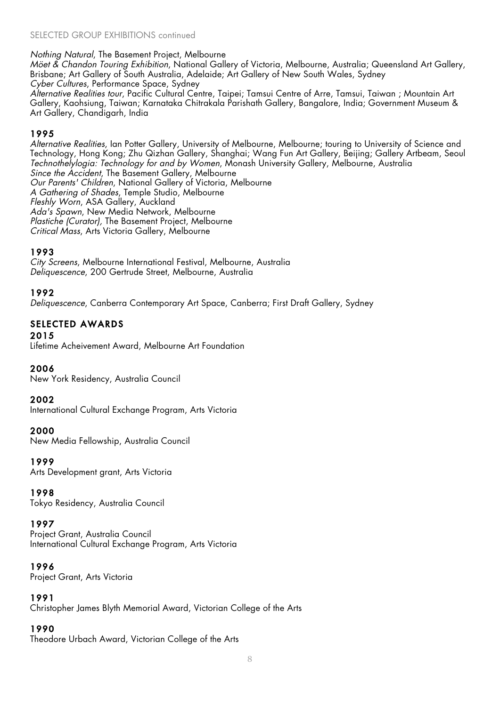### SELECTED GROUP EXHIBITIONS continued

#### *Nothing Natural*, The Basement Project, Melbourne

*Möet & Chandon Touring Exhibition*, National Gallery of Victoria, Melbourne, Australia; Queensland Art Gallery, Brisbane; Art Gallery of South Australia, Adelaide; Art Gallery of New South Wales, Sydney *Cyber Cultures*, Performance Space, Sydney

*Alternative Realities tour*, Pacific Cultural Centre, Taipei; Tamsui Centre of Arre, Tamsui, Taiwan ; Mountain Art Gallery, Kaohsiung, Taiwan; Karnataka Chitrakala Parishath Gallery, Bangalore, India; Government Museum & Art Gallery, Chandigarh, India

## 1995

*Alternative Realities*, Ian Potter Gallery, University of Melbourne, Melbourne; touring to University of Science and Technology, Hong Kong; Zhu Qizhan Gallery, Shanghai; Wang Fun Art Gallery, Beijing; Gallery Artbeam, Seoul *Technothelylogia: Technology for and by Women*, Monash University Gallery, Melbourne, Australia *Since the Accident*, The Basement Gallery, Melbourne *Our Parents' Children*, National Gallery of Victoria, Melbourne *A Gathering of Shades*, Temple Studio, Melbourne *Fleshly Worn*, ASA Gallery, Auckland *Ada's Spawn*, New Media Network, Melbourne *Plastiche (Curator),* The Basement Project, Melbourne *Critical Mass*, Arts Victoria Gallery, Melbourne

## 1993

*City Screens*, Melbourne International Festival, Melbourne, Australia *Deliquescence*, 200 Gertrude Street, Melbourne, Australia

## 1992

*Deliquescence*, Canberra Contemporary Art Space, Canberra; First Draft Gallery, Sydney

### SELECTED AWARDS

#### 2015

Lifetime Acheivement Award, Melbourne Art Foundation

#### 2006

New York Residency, Australia Council

#### 2002

International Cultural Exchange Program, Arts Victoria

#### 2000

New Media Fellowship, Australia Council

1999

Arts Development grant, Arts Victoria

#### 1998

Tokyo Residency, Australia Council

## 1997

Project Grant, Australia Council International Cultural Exchange Program, Arts Victoria

#### 1996

Project Grant, Arts Victoria

## 1991

Christopher James Blyth Memorial Award, Victorian College of the Arts

## 1990

Theodore Urbach Award, Victorian College of the Arts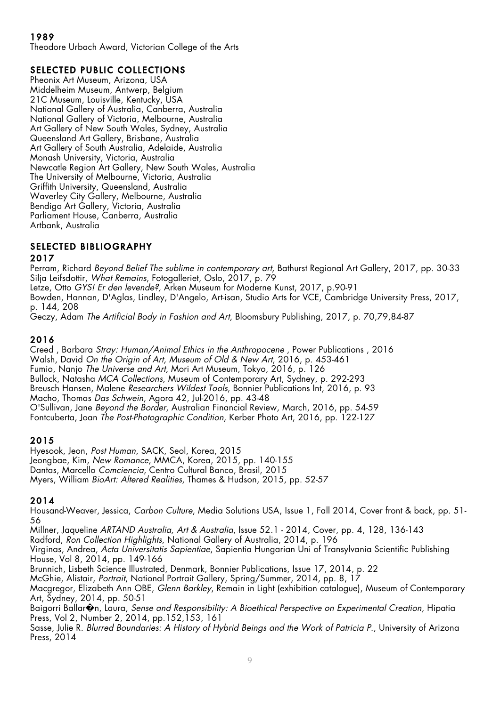Theodore Urbach Award, Victorian College of the Arts

# SELECTED PUBLIC COLLECTIONS

Pheonix Art Museum, Arizona, USA Middelheim Museum, Antwerp, Belgium 21C Museum, Louisville, Kentucky, USA National Gallery of Australia, Canberra, Australia National Gallery of Victoria, Melbourne, Australia Art Gallery of New South Wales, Sydney, Australia Queensland Art Gallery, Brisbane, Australia Art Gallery of South Australia, Adelaide, Australia Monash University, Victoria, Australia Newcatle Region Art Gallery, New South Wales, Australia The University of Melbourne, Victoria, Australia Griffith University, Queensland, Australia Waverley City Gallery, Melbourne, Australia Bendigo Art Gallery, Victoria, Australia Parliament House, Canberra, Australia Artbank, Australia

# SELECTED BIBLIOGRAPHY

## 2017

Perram, Richard *Beyond Belief The sublime in contemporary art,* Bathurst Regional Art Gallery, 2017, pp. 30-33 Silja Leifsdottir, *What Remains*, Fotogalleriet, Oslo, 2017, p. 79 Letze, Otto *GYS! Er den levende?,* Arken Museum for Moderne Kunst, 2017, p.90-91 Bowden, Hannan, D'Aglas, Lindley, D'Angelo, Art-isan, Studio Arts for VCE, Cambridge University Press, 2017, p. 144, 208

Geczy, Adam *The Artificial Body in Fashion and Art*, Bloomsbury Publishing, 2017, p. 70,79,84-87

# 2016

Creed , Barbara *Stray: Human/Animal Ethics in the Anthropocene* , Power Publications , 2016 Walsh, David *On the Origin of Art, Museum of Old & New Art*, 2016, p. 453-461 Fumio, Nanjo *The Universe and Art,* Mori Art Museum, Tokyo, 2016, p. 126 Bullock, Natasha *MCA Collections*, Museum of Contemporary Art, Sydney, p. 292-293 Breusch Hansen, Malene *Researchers Wildest Tools*, Bonnier Publications Int, 2016, p. 93 Macho, Thomas *Das Schwein*, Agora 42, Jul-2016, pp. 43-48 O'Sullivan, Jane *Beyond the Border*, Australian Financial Review, March, 2016, pp. 54-59 Fontcuberta, Joan *The Post-Photographic Condition*, Kerber Photo Art, 2016, pp. 122-127

# 2015

Hyesook, Jeon, *Post Human*, SACK, Seol, Korea, 2015 Jeongbae, Kim, *New Romance*, MMCA, Korea, 2015, pp. 140-155 Dantas, Marcello *Comciencia*, Centro Cultural Banco, Brasil, 2015 Myers, William *BioArt: Altered Realities*, Thames & Hudson, 2015, pp. 52-57

# 2014

Housand-Weaver, Jessica, *Carbon Culture*, Media Solutions USA, Issue 1, Fall 2014, Cover front & back, pp. 51- 56

Millner, Jaqueline *ARTAND Australia, Art & Australia*, Issue 52.1 - 2014, Cover, pp. 4, 128, 136-143

Radford, *Ron Collection Highlights*, National Gallery of Australia, 2014, p. 196

Virginas, Andrea, *Acta Universitatis Sapientiae*, Sapientia Hungarian Uni of Transylvania Scientific Publishing House, Vol 8, 2014, pp. 149-166

Brunnich, Lisbeth Science Illustrated, Denmark, Bonnier Publications, Issue 17, 2014, p. 22

McGhie, Alistair, *Portrait*, National Portrait Gallery, Spring/Summer, 2014, pp. 8, 17

Macgregor, Elizabeth Ann OBE, *Glenn Barkley*, Remain in Light (exhibition catalogue), Museum of Contemporary Art, Sydney, 2014, pp. 50-51

Baigorri Ballar�n, Laura, *Sense and Responsibility: A Bioethical Perspective on Experimental Creation*, Hipatia Press, Vol 2, Number 2, 2014, pp.152,153, 161

Sasse, Julie R. *Blurred Boundaries: A History of Hybrid Beings and the Work of Patricia P*., University of Arizona Press, 2014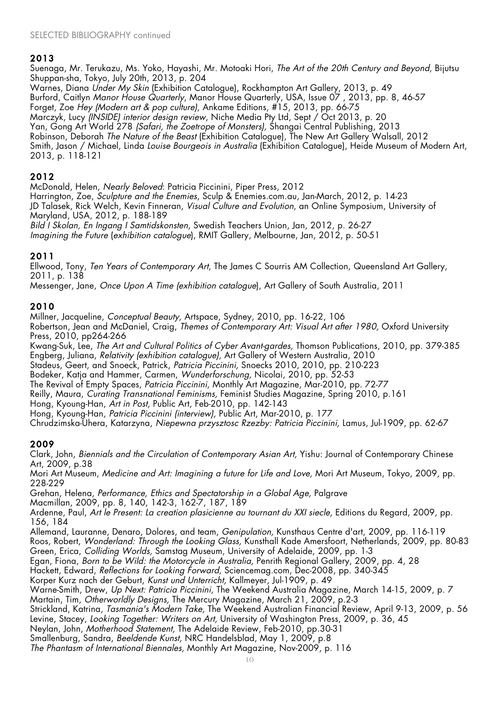Suenaga, Mr. Terukazu, Ms. Yoko, Hayashi, Mr. Motoaki Hori, *The Art of the 20th Century and Beyond*, Bijutsu Shuppan-sha, Tokyo, July 20th, 2013, p. 204

Warnes, Diana *Under My Skin* (Exhibition Catalogue), Rockhampton Art Gallery, 2013, p. 49 Burford, Caitlyn *Manor House Quarterly*, Manor House Quarterly, USA, Issue 07 , 2013, pp. 8, 46-57 Forget, Zoe *Hey (Modern art & pop culture)*, Ankame Editions, #15, 2013, pp. 66-75 Marczyk, Lucy *(INSIDE) interior design review*, Niche Media Pty Ltd, Sept / Oct 2013, p. 20 Yan, Gong Art World 278 *(Safari, the Zoetrope of Monsters),* Shangai Central Publishing, 2013 Robinson, Deborah *The Nature of the Beast* (Exhibition Catalogue), The New Art Gallery Walsall, 2012 Smith, Jason / Michael, Linda *Louise Bourgeois in Australia* (Exhibition Catalogue), Heide Museum of Modern Art, 2013, p. 118-121

## 2012

McDonald, Helen, *Nearly Beloved*: Patricia Piccinini, Piper Press, 2012 Harrington, Zoe, *Sculpture and the Enemies*, Sculp & Enemies.com.au, Jan-March, 2012, p. 14-23 JD Talasek, Rick Welch, Kevin Finneran, *Visual Culture and Evolution*, an Online Symposium, University of Maryland, USA, 2012, p. 188-189 *Bild I Skolan, En Ingang I Samtidskonsten*, Swedish Teachers Union, Jan, 2012, p. 26-27 *Imagining the Future* (*exhibition catalogue*), RMIT Gallery, Melbourne, Jan, 2012, p. 50-51

# 2011

Ellwood, Tony, *Ten Years of Contemporary Art*, The James C Sourris AM Collection, Queensland Art Gallery, 2011, p. 138

Messenger, Jane, *Once Upon A Time (exhibition catalogue*), Art Gallery of South Australia, 2011

## 2010

Millner, Jacqueline, *Conceptual Beauty,* Artspace, Sydney, 2010, pp. 16-22, 106

Robertson, Jean and McDaniel, Craig, *Themes of Contemporary Art: Visual Art after 1980,* Oxford University Press, 2010, pp264-266

Kwang-Suk, Lee, *The Art and Cultural Politics of Cyber Avant-gardes,* Thomson Publications, 2010, pp. 379-385 Engberg, Juliana, *Relativity (exhibition catalogue),* Art Gallery of Western Australia, 2010

Stadeus, Geert, and Snoeck, Patrick, *Patricia Piccinini,* Snoecks 2010, 2010, pp. 210-223

Bodeker, Katja and Hammer, Carmen, *Wunderforschung,* Nicolai, 2010, pp. 52-53

The Revival of Empty Spaces, *Patricia Piccinini,* Monthly Art Magazine, Mar-2010, pp. 72-77

Reilly, Maura, *Curating Transnational Feminisms,* Feminist Studies Magazine, Spring 2010, p.161

Hong, Kyoung-Han, *Art in Post,* Public Art, Feb-2010, pp. 142-143

Hong, Kyoung-Han, *Patricia Piccinini (interview),* Public Art, Mar-2010, p. 177

Chrudzimska-Uhera, Katarzyna, *Niepewna przysztosc Rzezby: Patricia Piccinini,* Lamus, Jul-1909, pp. 62-67

# 2009

Clark, John, *Biennials and the Circulation of Contemporary Asian Art,* Yishu: Journal of Contemporary Chinese Art, 2009, p.38

Mori Art Museum, *Medicine and Art: Imagining a future for Life and Love,* Mori Art Museum, Tokyo, 2009, pp. 228-229

Grehan, Helena, *Performance, Ethics and Spectatorship in a Global Age,* Palgrave

Macmillan, 2009, pp. 8, 140, 142-3, 162-7, 187, 189

Ardenne, Paul, *Art le Present: La creation plasicienne au tournant du XXI siecle,* Editions du Regard, 2009, pp. 156, 184

Allemand, Lauranne, Denaro, Dolores, and team, *Genipulation,* Kunsthaus Centre d'art, 2009, pp. 116-119 Roos, Robert, *Wonderland: Through the Looking Glass,* Kunsthall Kade Amersfoort, Netherlands, 2009, pp. 80-83

Green, Erica, *Colliding Worlds,* Samstag Museum, University of Adelaide, 2009, pp. 1-3

Egan, Fiona, *Born to be Wild: the Motorcycle in Australia,* Penrith Regional Gallery, 2009, pp. 4, 28

Hackett, Edward, *Reflections for Looking Forward,* Sciencemag.com, Dec-2008, pp. 340-345

Korper Kurz nach der Geburt, *Kunst und Unterricht,* Kallmeyer, Jul-1909, p. 49

Warne-Smith, Drew, *Up Next: Patricia Piccinini,* The Weekend Australia Magazine, March 14-15, 2009, p. 7

Martain, Tim, *Otherworldly Designs,* The Mercury Magazine, March 21, 2009, p.2-3

Strickland, Katrina, *Tasmania's Modern Take,* The Weekend Australian Financial Review, April 9-13, 2009, p. 56 Levine, Stacey, *Looking Together: Writers on Art,* University of Washington Press, 2009, p. 36, 45

Neylan, John, *Motherhood Statement,* The Adelaide Review, Feb-2010, pp.30-31

Smallenburg, Sandra, *Beeldende Kunst,* NRC Handelsblad, May 1, 2009, p.8 *The Phantasm of International Biennales,* Monthly Art Magazine, Nov-2009, p. 116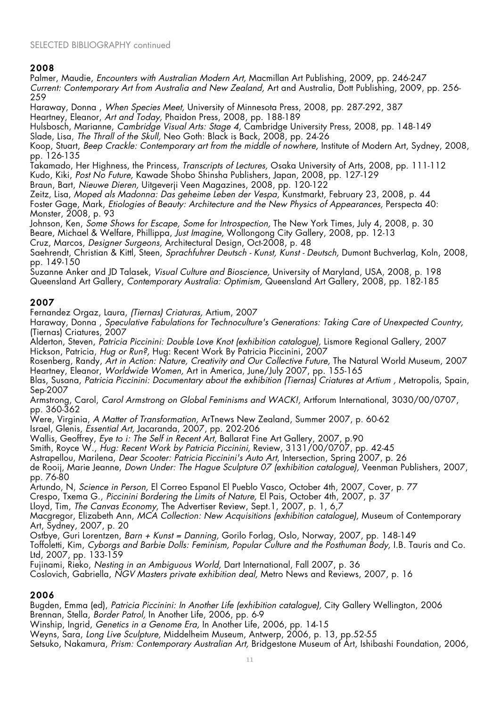### SELECTED BIBLIOGRAPHY continued

## 2008

Palmer, Maudie, *Encounters with Australian Modern Art,* Macmillan Art Publishing, 2009, pp. 246-247 *Current: Contemporary Art from Australia and New Zealand,* Art and Australia, Dott Publishing, 2009, pp. 256- 259

Haraway, Donna , *When Species Meet,* University of Minnesota Press, 2008, pp. 287-292, 387 Heartney, Eleanor, *Art and Today,* Phaidon Press, 2008, pp. 188-189

Hulsbosch, Marianne, *Cambridge Visual Arts: Stage 4,* Cambridge University Press, 2008, pp. 148-149 Slade, Lisa, *The Thrall of the Skull,* Neo Goth: Black is Back, 2008, pp. 24-26

Koop, Stuart, *Beep Crackle: Contemporary art from the middle of nowhere,* Institute of Modern Art, Sydney, 2008, pp. 126-135

Takamado, Her Highness, the Princess, *Transcripts of Lectures,* Osaka University of Arts, 2008, pp. 111-112

Kudo, Kiki, *Post No Future,* Kawade Shobo Shinsha Publishers, Japan, 2008, pp. 127-129

Braun, Bart, *Nieuwe Dieren,* Uitgeverji Veen Magazines, 2008, pp. 120-122

Zeitz, Lisa, *Moped als Madonna: Das geheime Leben der Vespa,* Kunstmarkt, February 23, 2008, p. 44 Foster Gage, Mark, *Etiologies of Beauty: Architecture and the New Physics of Appearances,* Perspecta 40: Monster, 2008, p. 93

Johnson, Ken, *Some Shows for Escape, Some for Introspection,* The New York Times, July 4, 2008, p. 30 Beare, Michael & Welfare, Phillippa, *Just Imagine,* Wollongong City Gallery, 2008, pp. 12-13 Cruz, Marcos, *Designer Surgeons,* Architectural Design, Oct-2008, p. 48

Saehrendt, Christian & Kittl, Steen, *Sprachfuhrer Deutsch - Kunst, Kunst - Deutsch,* Dumont Buchverlag, Koln, 2008, pp. 149-150

Suzanne Anker and JD Talasek, *Visual Culture and Bioscience,* University of Maryland, USA, 2008, p. 198 Queensland Art Gallery, *Contemporary Australia: Optimism,* Queensland Art Gallery, 2008, pp. 182-185

# 2007

Fernandez Orgaz, Laura, *(Tiernas) Criaturas,* Artium, 2007

Haraway, Donna , *Speculative Fabulations for Technoculture's Generations: Taking Care of Unexpected Country,* (Tiernas) Criatures, 2007

Alderton, Steven, *Patricia Piccinini: Double Love Knot (exhibition catalogue),* Lismore Regional Gallery, 2007 Hickson, Patricia, *Hug or Run?,* Hug: Recent Work By Patricia Piccinini, 2007

Rosenberg, Randy, *Art in Action: Nature, Creativity and Our Collective Future,* The Natural World Museum, 2007 Heartney, Eleanor, *Worldwide Women,* Art in America, June/July 2007, pp. 155-165

Blas, Susana, *Patricia Piccinini: Documentary about the exhibition (Tiernas) Criatures at Artium ,* Metropolis, Spain, Sep-2007

Armstrong, Carol, *Carol Armstrong on Global Feminisms and WACK!,* Artforum International, 3030/00/0707, pp. 360-362

Were, Virginia, *A Matter of Transformation,* ArTnews New Zealand, Summer 2007, p. 60-62

Israel, Glenis, *Essential Art,* Jacaranda, 2007, pp. 202-206

Wallis, Geoffrey, *Eye to i: The Self in Recent Art,* Ballarat Fine Art Gallery, 2007, p.90

Smith, Royce W., *Hug: Recent Work by Patricia Piccinini,* Review, 3131/00/0707, pp. 42-45

Astrapellou, Marilena, *Dear Scooter: Patricia Piccinini's Auto Art,* Intersection, Spring 2007, p. 26

de Rooij, Marie Jeanne, *Down Under: The Hague Sculpture 07 (exhibition catalogue),* Veenman Publishers, 2007, pp. 76-80

Artundo, N, *Science in Person,* El Correo Espanol El Pueblo Vasco, October 4th, 2007, Cover, p. 77

Crespo, Txema G., *Piccinini Bordering the Limits of Nature,* El Pais, October 4th, 2007, p. 37

Lloyd, Tim, *The Canvas Economy,* The Advertiser Review, Sept.1, 2007, p. 1, 6,7

Macgregor, Elizabeth Ann, *MCA Collection: New Acquisitions (exhibition catalogue),* Museum of Contemporary Art, Sydney, 2007, p. 20

Ostbye, Guri Lorentzen, *Barn + Kunst = Danning,* Gorilo Forlag, Oslo, Norway, 2007, pp. 148-149

Toffoletti, Kim, *Cyborgs and Barbie Dolls: Feminism, Popular Culture and the Posthuman Body,* I.B. Tauris and Co. Ltd, 2007, pp. 133-159

Fujinami, Rieko, *Nesting in an Ambiguous World,* Dart International, Fall 2007, p. 36

Coslovich, Gabriella, *NGV Masters private exhibition deal,* Metro News and Reviews, 2007, p. 16

## 2006

Bugden, Emma (ed), *Patricia Piccinini: In Another Life (exhibition catalogue),* City Gallery Wellington, 2006 Brennan, Stella, *Border Patrol,* In Another Life, 2006, pp. 6-9

Winship, Ingrid, *Genetics in a Genome Era,* In Another Life, 2006, pp. 14-15

Weyns, Sara, *Long Live Sculpture,* Middelheim Museum, Antwerp, 2006, p. 13, pp.52-55 Setsuko, Nakamura, *Prism: Contemporary Australian Art,* Bridgestone Museum of Art, Ishibashi Foundation, 2006,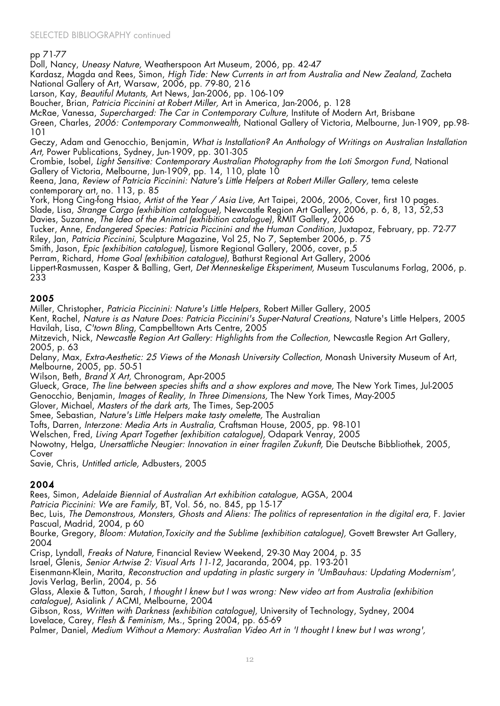#### pp 71-77

Doll, Nancy, *Uneasy Nature,* Weatherspoon Art Museum, 2006, pp. 42-47

Kardasz, Magda and Rees, Simon, *High Tide: New Currents in art from Australia and New Zealand,* Zacheta National Gallery of Art, Warsaw, 2006, pp. 79-80, 216

Larson, Kay, *Beautiful Mutants,* Art News, Jan-2006, pp. 106-109

Boucher, Brian, *Patricia Piccinini at Robert Miller,* Art in America, Jan-2006, p. 128

McRae, Vanessa, *Supercharged: The Car in Contemporary Culture,* Institute of Modern Art, Brisbane

Green, Charles, *2006: Contemporary Commonwealth,* National Gallery of Victoria, Melbourne, Jun-1909, pp.98- 101

Geczy, Adam and Genocchio, Benjamin, *What is Installation? An Anthology of Writings on Australian Installation Art,* Power Publications, Sydney, Jun-1909, pp. 301-305

Crombie, Isobel, *Light Sensitive: Contemporary Australian Photography from the Loti Smorgon Fund,* National Gallery of Victoria, Melbourne, Jun-1909, pp. 14, 110, plate 10

Reena, Jana, *Review of Patricia Piccinini: Nature's Little Helpers at Robert Miller Gallery,* tema celeste contemporary art, no. 113, p. 85

York, Hong Cing-fong Hsiao, *Artist of the Year / Asia Live,* Art Taipei, 2006, 2006, Cover, first 10 pages. Slade, Lisa, *Strange Cargo (exhibition catalogue),* Newcastle Region Art Gallery, 2006, p. 6, 8, 13, 52,53 Davies, Suzanne, *The Idea of the Animal (exhibition catalogue),* RMIT Gallery, 2006

Tucker, Anne, *Endangered Species: Patricia Piccinini and the Human Condition,* Juxtapoz, February, pp. 72-77 Riley, Jan, *Patricia Piccinini,* Sculpture Magazine, Vol 25, No 7, September 2006, p. 75

Smith, Jason, *Epic (exhibition catalogue),* Lismore Regional Gallery, 2006, cover, p.5

Perram, Richard, *Home Goal (exhibition catalogue),* Bathurst Regional Art Gallery, 2006

Lippert-Rasmussen, Kasper & Balling, Gert, *Det Menneskelige Eksperiment,* Museum Tusculanums Forlag, 2006, p. 233

### 2005

Miller, Christopher, *Patricia Piccinini: Nature's Little Helpers,* Robert Miller Gallery, 2005

Kent, Rachel, *Nature is as Nature Does: Patricia Piccinini's Super-Natural Creations,* Nature's Little Helpers, 2005 Havilah, Lisa, *C'town Bling,* Campbelltown Arts Centre, 2005

Mitzevich, Nick, *Newcastle Region Art Gallery: Highlights from the Collection,* Newcastle Region Art Gallery, 2005, p. 63

Delany, Max, *Extra-Aesthetic: 25 Views of the Monash University Collection,* Monash University Museum of Art, Melbourne, 2005, pp. 50-51

Wilson, Beth, *Brand X Art,* Chronogram, Apr-2005

Glueck, Grace, *The line between species shifts and a show explores and move,* The New York Times, Jul-2005 Genocchio, Benjamin, *Images of Reality, In Three Dimensions,* The New York Times, May-2005

Glover, Michael, *Masters of the dark arts,* The Times, Sep-2005

Smee, Sebastian, *Nature's Little Helpers make tasty omelette,* The Australian

Tofts, Darren, *Interzone: Media Arts in Australia,* Craftsman House, 2005, pp. 98-101

Welschen, Fred, *Living Apart Together (exhibition catalogue),* Odapark Venray, 2005

Nowotny, Helga, *Unersattliche Neugier: Innovation in einer fragilen Zukunft,* Die Deutsche Bibbliothek, 2005, Cover

Savie, Chris, *Untitled article,* Adbusters, 2005

## 2004

Rees, Simon, *Adelaide Biennial of Australian Art exhibition catalogue,* AGSA, 2004

*Patricia Piccinini: We are Family,* BT, Vol. 56, no. 845, pp 15-17

Bec, Luis, *The Demonstrous, Monsters, Ghosts and Aliens: The politics of representation in the digital era,* F. Javier Pascual, Madrid, 2004, p 60

Bourke, Gregory, *Bloom: Mutation,Toxicity and the Sublime (exhibition catalogue),* Govett Brewster Art Gallery, 2004

Crisp, Lyndall, *Freaks of Nature,* Financial Review Weekend, 29-30 May 2004, p. 35

Israel, Glenis, *Senior Artwise 2: Visual Arts 11-12,* Jacaranda, 2004, pp. 193-201

Eisenmann-Klein, Marita, *Reconstruction and updating in plastic surgery in 'UmBauhaus: Updating Modernism',* Jovis Verlag, Berlin, 2004, p. 56

Glass, Alexie & Tutton, Sarah, *I thought I knew but I was wrong: New video art from Australia (exhibition catalogue),* Asialink / ACMI, Melbourne, 2004

Gibson, Ross, *Written with Darkness (exhibition catalogue),* University of Technology, Sydney, 2004 Lovelace, Carey, *Flesh & Feminism,* Ms., Spring 2004, pp. 65-69

Palmer, Daniel, *Medium Without a Memory: Australian Video Art in 'I thought I knew but I was wrong',*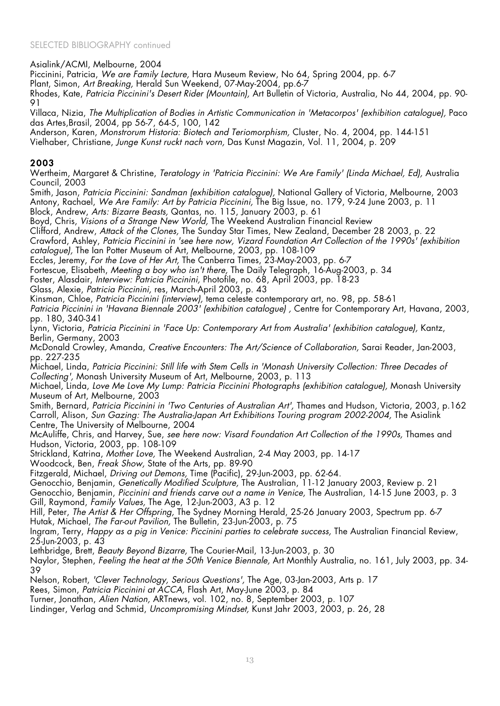Asialink/ACMI, Melbourne, 2004

Piccinini, Patricia, *We are Family Lecture,* Hara Museum Review, No 64, Spring 2004, pp. 6-7

Plant, Simon, *Art Breaking,* Herald Sun Weekend, 07-May-2004, pp.6-7

Rhodes, Kate, *Patricia Piccinini's Desert Rider (Mountain),* Art Bulletin of Victoria, Australia, No 44, 2004, pp. 90- 91

Villaca, Nizia, *The Multiplication of Bodies in Artistic Communication in 'Metacorpos' (exhibition catalogue),* Paco das Artes,Brasil, 2004, pp 56-7, 64-5, 100, 142

Anderson, Karen, *Monstrorum Historia: Biotech and Teriomorphism,* Cluster, No. 4, 2004, pp. 144-151

Vielhaber, Christiane, *Junge Kunst ruckt nach vorn,* Das Kunst Magazin, Vol. 11, 2004, p. 209

## 2003

Wertheim, Margaret & Christine, *Teratology in 'Patricia Piccinini: We Are Family' (Linda Michael, Ed),* Australia Council, 2003

Smith, Jason, *Patricia Piccinini: Sandman (exhibition catalogue),* National Gallery of Victoria, Melbourne, 2003 Antony, Rachael, *We Are Family: Art by Patricia Piccinini,* The Big Issue, no. 179, 9-24 June 2003, p. 11

Block, Andrew, *Arts: Bizarre Beasts,* Qantas, no. 115, January 2003, p. 61

Boyd, Chris, Visions of a Strange New World, The Weekend Australian Financial Review

Clifford, Andrew, *Attack of the Clones,* The Sunday Star Times, New Zealand, December 28 2003, p. 22

Crawford, Ashley, *Patricia Piccinini in 'see here now, Vizard Foundation Art Collection of the 1990s' (exhibition catalogue),* The Ian Potter Museum of Art, Melbourne, 2003, pp. 108-109

Eccles, Jeremy, *For the Love of Her Art,* The Canberra Times, 23-May-2003, pp. 6-7

Fortescue, Elisabeth, *Meeting a boy who isn't there,* The Daily Telegraph, 16-Aug-2003, p. 34

Foster, Alasdair, *Interview: Patricia Piccinini,* Photofile, no. 68, April 2003, pp. 18-23

Glass, Alexie, *Patricia Piccinini,* res, March-April 2003, p. 43

Kinsman, Chloe, *Patricia Piccinini (interview),* tema celeste contemporary art, no. 98, pp. 58-61

*Patricia Piccinini in 'Havana Biennale 2003' (exhibition catalogue) ,* Centre for Contemporary Art, Havana, 2003, pp. 180, 340-341

Lynn, Victoria, *Patricia Piccinini in 'Face Up: Contemporary Art from Australia' (exhibition catalogue),* Kantz, Berlin, Germany, 2003

McDonald Crowley, Amanda, *Creative Encounters: The Art/Science of Collaboration,* Sarai Reader, Jan-2003, pp. 227-235

Michael, Linda, *Patricia Piccinini: Still life with Stem Cells in 'Monash University Collection: Three Decades of Collecting',* Monash University Museum of Art, Melbourne, 2003, p. 113

Michael, Linda, *Love Me Love My Lump: Patricia Piccinini Photographs (exhibition catalogue),* Monash University Museum of Art, Melbourne, 2003

Smith, Bernard, *Patricia Piccinini in 'Two Centuries of Australian Art',* Thames and Hudson, Victoria, 2003, p.162 Carroll, Alison, *Sun Gazing: The Australia-Japan Art Exhibitions Touring program 2002-2004,* The Asialink Centre, The University of Melbourne, 2004

McAuliffe, Chris, and Harvey, Sue, *see here now: Visard Foundation Art Collection of the 1990s,* Thames and Hudson, Victoria, 2003, pp. 108-109

Strickland, Katrina, *Mother Love,* The Weekend Australian, 2-4 May 2003, pp. 14-17

Woodcock, Ben, *Freak Show,* State of the Arts, pp. 89-90

Fitzgerald, Michael, *Driving out Demons,* Time (Pacific), 29-Jun-2003, pp. 62-64.

Genocchio, Benjamin, *Genetically Modified Sculpture,* The Australian, 11-12 January 2003, Review p. 21

Genocchio, Benjamin, *Piccinini and friends carve out a name in Venice,* The Australian, 14-15 June 2003, p. 3 Gill, Raymond, *Family Values,* The Age, 12-Jun-2003, A3 p. 12

Hill, Peter, *The Artist & Her Offspring,* The Sydney Morning Herald, 25-26 January 2003, Spectrum pp. 6-7 Hutak, Michael, *The Far-out Pavilion,* The Bulletin, 23-Jun-2003, p. 75

Ingram, Terry, *Happy as a pig in Venice: Piccinini parties to celebrate success,* The Australian Financial Review, 25-Jun-2003, p. 43

Lethbridge, Brett, *Beauty Beyond Bizarre,* The Courier-Mail, 13-Jun-2003, p. 30

Naylor, Stephen, *Feeling the heat at the 50th Venice Biennale,* Art Monthly Australia, no. 161, July 2003, pp. 34- 39

Nelson, Robert, *'Clever Technology, Serious Questions',* The Age, 03-Jan-2003, Arts p. 17

Rees, Simon, *Patricia Piccinini at ACCA,* Flash Art, May-June 2003, p. 84

Turner, Jonathan, *Alien Nation,* ARTnews, vol. 102, no. 8, September 2003, p. 107

Lindinger, Verlag and Schmid, *Uncompromising Mindset,* Kunst Jahr 2003, 2003, p. 26, 28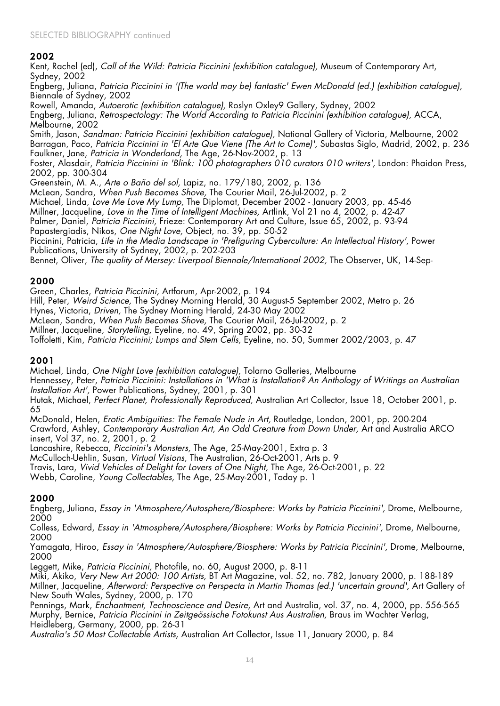Kent, Rachel (ed), *Call of the Wild: Patricia Piccinini (exhibition catalogue),* Museum of Contemporary Art, Sydney, 2002

Engberg, Juliana, *Patricia Piccinini in '(The world may be) fantastic' Ewen McDonald (ed.) (exhibition catalogue),* Biennale of Sydney, 2002

Rowell, Amanda, *Autoerotic (exhibition catalogue),* Roslyn Oxley9 Gallery, Sydney, 2002

Engberg, Juliana, *Retrospectology: The World According to Patricia Piccinini (exhibition catalogue),* ACCA, Melbourne, 2002

Smith, Jason, *Sandman: Patricia Piccinini (exhibition catalogue),* National Gallery of Victoria, Melbourne, 2002 Barragan, Paco, *Patricia Piccinini in 'El Arte Que Viene (The Art to Come)',* Subastas Siglo, Madrid, 2002, p. 236 Faulkner, Jane, *Patricia in Wonderland,* The Age, 26-Nov-2002, p. 13

Foster, Alasdair, *Patricia Piccinini in 'Blink: 100 photographers 010 curators 010 writers',* London: Phaidon Press, 2002, pp. 300-304

Greenstein, M. A., *Arte o Baño del sol,* Lapiz, no. 179/180, 2002, p. 136

McLean, Sandra, *When Push Becomes Shove,* The Courier Mail, 26-Jul-2002, p. 2

Michael, Linda, *Love Me Love My Lump,* The Diplomat, December 2002 - January 2003, pp. 45-46

Millner, Jacqueline, *Love in the Time of Intelligent Machines,* Artlink, Vol 21 no 4, 2002, p. 42-47

Palmer, Daniel, *Patricia Piccinini,* Frieze: Contemporary Art and Culture, Issue 65, 2002, p. 93-94

Papastergiadis, Nikos, *One Night Love,* Object, no. 39, pp. 50-52

Piccinini, Patricia, *Life in the Media Landscape in 'Prefiguring Cyberculture: An Intellectual History',* Power Publications, University of Sydney, 2002, p. 202-203

Bennet, Oliver, *The quality of Mersey: Liverpool Biennale/International 2002,* The Observer, UK, 14-Sep-

## 2000

Green, Charles, *Patricia Piccinini,* Artforum, Apr-2002, p. 194

Hill, Peter, *Weird Science,* The Sydney Morning Herald, 30 August-5 September 2002, Metro p. 26

Hynes, Victoria, *Driven,* The Sydney Morning Herald, 24-30 May 2002

McLean, Sandra, *When Push Becomes Shove,* The Courier Mail, 26-Jul-2002, p. 2

Millner, Jacqueline, *Storytelling,* Eyeline, no. 49, Spring 2002, pp. 30-32

Toffoletti, Kim, *Patricia Piccinini; Lumps and Stem Cells,* Eyeline, no. 50, Summer 2002/2003, p. 47

## 2001

Michael, Linda, *One Night Love (exhibition catalogue),* Tolarno Galleries, Melbourne

Hennessey, Peter, *Patricia Piccinini: Installations in 'What is Installation? An Anthology of Writings on Australian Installation Art',* Power Publications, Sydney, 2001, p. 301

Hutak, Michael, *Perfect Planet, Professionally Reproduced,* Australian Art Collector, Issue 18, October 2001, p. 65

McDonald, Helen, *Erotic Ambiguities: The Female Nude in Art,* Routledge, London, 2001, pp. 200-204 Crawford, Ashley, *Contemporary Australian Art, An Odd Creature from Down Under,* Art and Australia ARCO insert, Vol 37, no. 2, 2001, p. 2

Lancashire, Rebecca, *Piccinini's Monsters,* The Age, 25-May-2001, Extra p. 3

McCulloch-Uehlin, Susan, *Virtual Visions,* The Australian, 26-Oct-2001, Arts p. 9

Travis, Lara, *Vivid Vehicles of Delight for Lovers of One Night,* The Age, 26-Oct-2001, p. 22

Webb, Caroline, *Young Collectables,* The Age, 25-May-2001, Today p. 1

# 2000

Engberg, Juliana, *Essay in 'Atmosphere/Autosphere/Biosphere: Works by Patricia Piccinini',* Drome, Melbourne, 2000

Colless, Edward, *Essay in 'Atmosphere/Autosphere/Biosphere: Works by Patricia Piccinini',* Drome, Melbourne, 2000

Yamagata, Hiroo, *Essay in 'Atmosphere/Autosphere/Biosphere: Works by Patricia Piccinini',* Drome, Melbourne, 2000

Leggett, Mike, *Patricia Piccinini,* Photofile, no. 60, August 2000, p. 8-11

Miki, Akiko, *Very New Art 2000: 100 Artists,* BT Art Magazine, vol. 52, no. 782, January 2000, p. 188-189 Millner, Jacqueline, *Afterword: Perspective on Perspecta in Martin Thomas (ed.) 'uncertain ground',* Art Gallery of New South Wales, Sydney, 2000, p. 170

Pennings, Mark, *Enchantment, Technoscience and Desire,* Art and Australia, vol. 37, no. 4, 2000, pp. 556-565 Murphy, Bernice, *Patricia Piccinini in Zeitgeössische Fotokunst Aus Australien,* Braus im Wachter Verlag, Heidleberg, Germany, 2000, pp. 26-31

*Australia's 50 Most Collectable Artists,* Australian Art Collector, Issue 11, January 2000, p. 84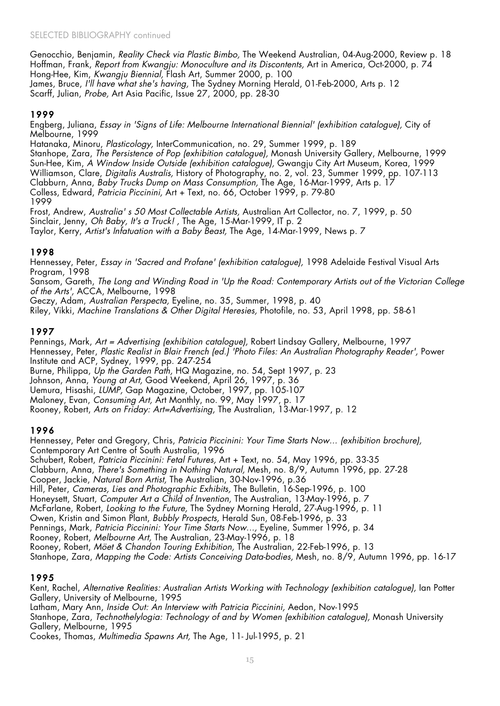Genocchio, Benjamin, *Reality Check via Plastic Bimbo,* The Weekend Australian, 04-Aug-2000, Review p. 18 Hoffman, Frank, *Report from Kwangju: Monoculture and its Discontents,* Art in America, Oct-2000, p. 74 Hong-Hee, Kim, *Kwangju Biennial,* Flash Art, Summer 2000, p. 100 James, Bruce, *I'll have what she's having,* The Sydney Morning Herald, 01-Feb-2000, Arts p. 12 Scarff, Julian, *Probe,* Art Asia Pacific, Issue 27, 2000, pp. 28-30

# 1999

Engberg, Juliana, *Essay in 'Signs of Life: Melbourne International Biennial' (exhibition catalogue),* City of Melbourne, 1999

Hatanaka, Minoru, *Plasticology,* InterCommunication, no. 29, Summer 1999, p. 189 Stanhope, Zara, *The Persistence of Pop (exhibition catalogue),* Monash University Gallery, Melbourne, 1999 Sun-Hee, Kim, *A Window Inside Outside (exhibition catalogue),* Gwangju City Art Museum, Korea, 1999 Williamson, Clare, *Digitalis Australis,* History of Photography, no. 2, vol. 23, Summer 1999, pp. 107-113 Clabburn, Anna, *Baby Trucks Dump on Mass Consumption,* The Age, 16-Mar-1999, Arts p. 17 Colless, Edward, *Patricia Piccinini,* Art + Text, no. 66, October 1999, p. 79-80 1999

Frost, Andrew, *Australia' s 50 Most Collectable Artists,* Australian Art Collector, no. 7, 1999, p. 50 Sinclair, Jenny, *Oh Baby, It's a Truck! ,* The Age, 15-Mar-1999, IT p. 2 Taylor, Kerry, *Artist's Infatuation with a Baby Beast,* The Age, 14-Mar-1999, News p. 7

## 1998

Hennessey, Peter, *Essay in 'Sacred and Profane' (exhibition catalogue),* 1998 Adelaide Festival Visual Arts Program, 1998

Sansom, Gareth, *The Long and Winding Road in 'Up the Road: Contemporary Artists out of the Victorian College of the Arts',* ACCA, Melbourne, 1998

Geczy, Adam, *Australian Perspecta,* Eyeline, no. 35, Summer, 1998, p. 40

Riley, Vikki, *Machine Translations & Other Digital Heresies,* Photofile, no. 53, April 1998, pp. 58-61

## 1997

Pennings, Mark, *Art = Advertising (exhibition catalogue),* Robert Lindsay Gallery, Melbourne, 1997 Hennessey, Peter, *Plastic Realist in Blair French (ed.) 'Photo Files: An Australian Photography Reader',* Power Institute and ACP, Sydney, 1999, pp. 247-254

Burne, Philippa, *Up the Garden Path,* HQ Magazine, no. 54, Sept 1997, p. 23

Johnson, Anna, *Young at Art,* Good Weekend, April 26, 1997, p. 36

Uemura, Hisashi, *LUMP,* Gap Magazine, October, 1997, pp. 105-107

Maloney, Evan, *Consuming Art,* Art Monthly, no. 99, May 1997, p. 17

Rooney, Robert, *Arts on Friday: Art=Advertising,* The Australian, 13-Mar-1997, p. 12

## 1996

Hennessey, Peter and Gregory, Chris, *Patricia Piccinini: Your Time Starts Now... (exhibition brochure),* Contemporary Art Centre of South Australia, 1996 Schubert, Robert, *Patricia Piccinini: Fetal Futures,* Art + Text, no. 54, May 1996, pp. 33-35 Clabburn, Anna, *There's Something in Nothing Natural,* Mesh, no. 8/9, Autumn 1996, pp. 27-28 Cooper, Jackie, *Natural Born Artist,* The Australian, 30-Nov-1996, p.36 Hill, Peter, *Cameras, Lies and Photographic Exhibits,* The Bulletin, 16-Sep-1996, p. 100 Honeysett, Stuart, *Computer Art a Child of Invention,* The Australian, 13-May-1996, p. 7 McFarlane, Robert, *Looking to the Future,* The Sydney Morning Herald, 27-Aug-1996, p. 11 Owen, Kristin and Simon Plant, *Bubbly Prospects,* Herald Sun, 08-Feb-1996, p. 33 Pennings, Mark, *Patricia Piccinini: Your Time Starts Now...,* Eyeline, Summer 1996, p. 34 Rooney, Robert, *Melbourne Art,* The Australian, 23-May-1996, p. 18 Rooney, Robert, *Möet & Chandon Touring Exhibition,* The Australian, 22-Feb-1996, p. 13 Stanhope, Zara, *Mapping the Code: Artists Conceiving Data-bodies,* Mesh, no. 8/9, Autumn 1996, pp. 16-17

## 1995

Kent, Rachel, *Alternative Realities: Australian Artists Working with Technology (exhibition catalogue),* Ian Potter Gallery, University of Melbourne, 1995 Latham, Mary Ann, *Inside Out: An Interview with Patricia Piccinini,* Aedon, Nov-1995 Stanhope, Zara, *Technothelylogia: Technology of and by Women (exhibition catalogue),* Monash University Gallery, Melbourne, 1995

Cookes, Thomas, *Multimedia Spawns Art,* The Age, 11- Jul-1995, p. 21